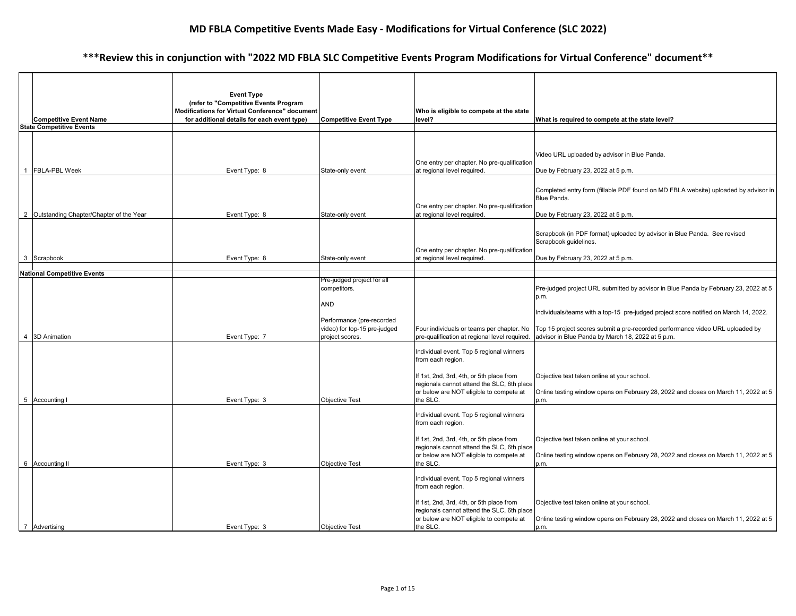| <b>Competitive Event Name</b><br><b>State Competitive Events</b>  | <b>Event Type</b><br>(refer to "Competitive Events Program<br>Modifications for Virtual Conference" document<br>for additional details for each event type) | <b>Competitive Event Type</b>                                                  | Who is eligible to compete at the state<br>level?                                                                                                                                                              | What is required to compete at the state level?                                                                                                                                                                                |
|-------------------------------------------------------------------|-------------------------------------------------------------------------------------------------------------------------------------------------------------|--------------------------------------------------------------------------------|----------------------------------------------------------------------------------------------------------------------------------------------------------------------------------------------------------------|--------------------------------------------------------------------------------------------------------------------------------------------------------------------------------------------------------------------------------|
|                                                                   |                                                                                                                                                             |                                                                                |                                                                                                                                                                                                                |                                                                                                                                                                                                                                |
| <b>FBLA-PBL Week</b><br>2 Outstanding Chapter/Chapter of the Year | Event Type: 8<br>Event Type: 8                                                                                                                              | State-only event<br>State-only event                                           | One entry per chapter. No pre-qualification<br>at regional level required.<br>One entry per chapter. No pre-qualification<br>at regional level required.                                                       | Video URL uploaded by advisor in Blue Panda.<br>Due by February 23, 2022 at 5 p.m.<br>Completed entry form (fillable PDF found on MD FBLA website) uploaded by advisor in<br>Blue Panda.<br>Due by February 23, 2022 at 5 p.m. |
|                                                                   |                                                                                                                                                             |                                                                                |                                                                                                                                                                                                                |                                                                                                                                                                                                                                |
| 3 Scrapbook                                                       | Event Type: 8                                                                                                                                               | State-only event                                                               | One entry per chapter. No pre-qualification<br>at regional level required.                                                                                                                                     | Scrapbook (in PDF format) uploaded by advisor in Blue Panda. See revised<br>Scrapbook quidelines.<br>Due by February 23, 2022 at 5 p.m.                                                                                        |
| <b>National Competitive Events</b>                                |                                                                                                                                                             |                                                                                |                                                                                                                                                                                                                |                                                                                                                                                                                                                                |
|                                                                   |                                                                                                                                                             | Pre-judged project for all<br>competitors.<br>AND<br>Performance (pre-recorded |                                                                                                                                                                                                                | Pre-judged project URL submitted by advisor in Blue Panda by February 23, 2022 at 5<br>p.m.<br>Individuals/teams with a top-15 pre-judged project score notified on March 14, 2022.                                            |
|                                                                   |                                                                                                                                                             | video) for top-15 pre-judged                                                   | Four individuals or teams per chapter. No                                                                                                                                                                      | Top 15 project scores submit a pre-recorded performance video URL uploaded by                                                                                                                                                  |
| 4 3D Animation                                                    | Event Type: 7                                                                                                                                               | project scores.                                                                | pre-qualification at regional level required.                                                                                                                                                                  | advisor in Blue Panda by March 18, 2022 at 5 p.m.                                                                                                                                                                              |
| 5 Accounting I                                                    | Event Type: 3                                                                                                                                               | <b>Objective Test</b>                                                          | Individual event. Top 5 regional winners<br>from each region.<br>If 1st, 2nd, 3rd, 4th, or 5th place from<br>regionals cannot attend the SLC, 6th place<br>or below are NOT eligible to compete at<br>the SLC. | Objective test taken online at your school.<br>Online testing window opens on February 28, 2022 and closes on March 11, 2022 at 5<br>p.m.                                                                                      |
|                                                                   |                                                                                                                                                             |                                                                                |                                                                                                                                                                                                                |                                                                                                                                                                                                                                |
|                                                                   |                                                                                                                                                             |                                                                                | Individual event. Top 5 regional winners<br>from each region.<br>If 1st, 2nd, 3rd, 4th, or 5th place from<br>regionals cannot attend the SLC, 6th place<br>or below are NOT eligible to compete at             | Objective test taken online at your school.<br>Online testing window opens on February 28, 2022 and closes on March 11, 2022 at 5                                                                                              |
| 6 Accounting II                                                   | Event Type: 3                                                                                                                                               | <b>Objective Test</b>                                                          | the SLC.                                                                                                                                                                                                       | p.m.                                                                                                                                                                                                                           |
|                                                                   |                                                                                                                                                             |                                                                                | Individual event. Top 5 regional winners<br>from each region.<br>If 1st, 2nd, 3rd, 4th, or 5th place from<br>regionals cannot attend the SLC, 6th place<br>or below are NOT eligible to compete at             | Objective test taken online at your school.<br>Online testing window opens on February 28, 2022 and closes on March 11, 2022 at 5                                                                                              |
| $\overline{7}$<br>Advertising                                     | Event Type: 3                                                                                                                                               | <b>Objective Test</b>                                                          | the SLC.                                                                                                                                                                                                       | p.m.                                                                                                                                                                                                                           |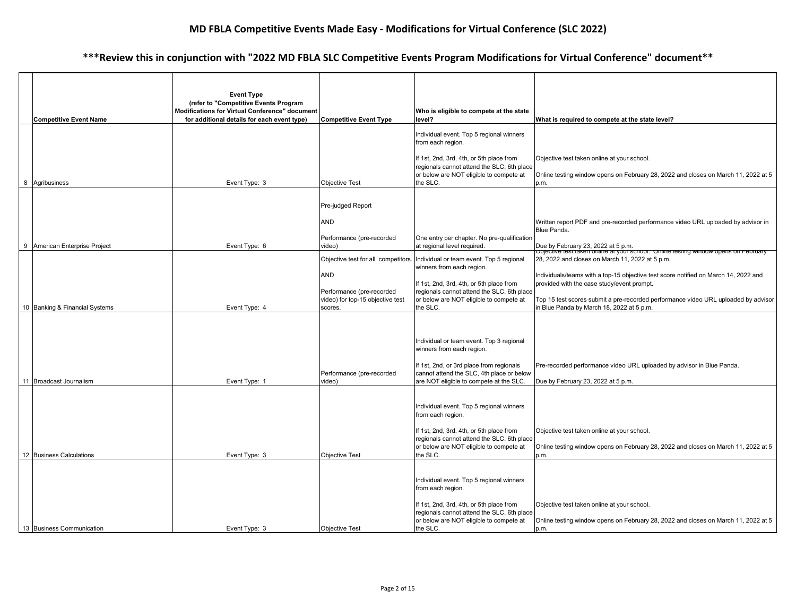|                                | <b>Event Type</b>                                                                                                                      |                                                               |                                                                                        |                                                                                                                             |
|--------------------------------|----------------------------------------------------------------------------------------------------------------------------------------|---------------------------------------------------------------|----------------------------------------------------------------------------------------|-----------------------------------------------------------------------------------------------------------------------------|
| <b>Competitive Event Name</b>  | (refer to "Competitive Events Program<br>Modifications for Virtual Conference" document<br>for additional details for each event type) | <b>Competitive Event Type</b>                                 | Who is eligible to compete at the state<br>level?                                      | What is required to compete at the state level?                                                                             |
|                                |                                                                                                                                        |                                                               |                                                                                        |                                                                                                                             |
|                                |                                                                                                                                        |                                                               | Individual event. Top 5 regional winners<br>from each region.                          |                                                                                                                             |
|                                |                                                                                                                                        |                                                               | If 1st, 2nd, 3rd, 4th, or 5th place from<br>regionals cannot attend the SLC, 6th place | Objective test taken online at your school.                                                                                 |
| 8 Agribusiness                 | Event Type: 3                                                                                                                          | <b>Objective Test</b>                                         | or below are NOT eligible to compete at<br>the SLC.                                    | Online testing window opens on February 28, 2022 and closes on March 11, 2022 at 5<br>p.m.                                  |
|                                |                                                                                                                                        | Pre-judged Report                                             |                                                                                        |                                                                                                                             |
|                                |                                                                                                                                        |                                                               |                                                                                        |                                                                                                                             |
|                                |                                                                                                                                        | <b>AND</b>                                                    |                                                                                        | Written report PDF and pre-recorded performance video URL uploaded by advisor in<br>Blue Panda.                             |
|                                |                                                                                                                                        | Performance (pre-recorded                                     | One entry per chapter. No pre-qualification                                            |                                                                                                                             |
| 9 American Enterprise Project  | Event Type: 6                                                                                                                          | video)                                                        | at regional level required.                                                            | Due by February 23, 2022 at 5 p.m.<br> Objective test taken online at your school. Online testing window opens on February. |
|                                |                                                                                                                                        | Objective test for all competitors.                           | Individual or team event. Top 5 regional<br>winners from each region.                  | 28, 2022 and closes on March 11, 2022 at 5 p.m.                                                                             |
|                                |                                                                                                                                        | AND                                                           |                                                                                        | Individuals/teams with a top-15 objective test score notified on March 14, 2022 and                                         |
|                                |                                                                                                                                        |                                                               | If 1st, 2nd, 3rd, 4th, or 5th place from                                               | provided with the case study/event prompt.                                                                                  |
|                                |                                                                                                                                        | Performance (pre-recorded<br>video) for top-15 objective test | regionals cannot attend the SLC, 6th place<br>or below are NOT eligible to compete at  | Top 15 test scores submit a pre-recorded performance video URL uploaded by advisor                                          |
| 10 Banking & Financial Systems | Event Type: 4                                                                                                                          | scores.                                                       | the SLC.                                                                               | in Blue Panda by March 18, 2022 at 5 p.m.                                                                                   |
|                                |                                                                                                                                        |                                                               |                                                                                        |                                                                                                                             |
|                                |                                                                                                                                        |                                                               |                                                                                        |                                                                                                                             |
|                                |                                                                                                                                        |                                                               | Individual or team event. Top 3 regional                                               |                                                                                                                             |
|                                |                                                                                                                                        |                                                               | winners from each region.                                                              |                                                                                                                             |
|                                |                                                                                                                                        |                                                               | If 1st, 2nd, or 3rd place from regionals                                               | Pre-recorded performance video URL uploaded by advisor in Blue Panda.                                                       |
|                                |                                                                                                                                        | Performance (pre-recorded                                     | cannot attend the SLC, 4th place or below                                              |                                                                                                                             |
| 11 Broadcast Journalism        | Event Type: 1                                                                                                                          | video)                                                        | are NOT eligible to compete at the SLC.                                                | Due by February 23, 2022 at 5 p.m.                                                                                          |
|                                |                                                                                                                                        |                                                               |                                                                                        |                                                                                                                             |
|                                |                                                                                                                                        |                                                               | Individual event. Top 5 regional winners                                               |                                                                                                                             |
|                                |                                                                                                                                        |                                                               | from each region.                                                                      |                                                                                                                             |
|                                |                                                                                                                                        |                                                               | If 1st, 2nd, 3rd, 4th, or 5th place from                                               | Objective test taken online at your school.                                                                                 |
|                                |                                                                                                                                        |                                                               | regionals cannot attend the SLC, 6th place                                             |                                                                                                                             |
|                                |                                                                                                                                        |                                                               | or below are NOT eligible to compete at                                                | Online testing window opens on February 28, 2022 and closes on March 11, 2022 at 5                                          |
| 12 Business Calculations       | Event Type: 3                                                                                                                          | <b>Objective Test</b>                                         | the SLC.                                                                               | p.m.                                                                                                                        |
|                                |                                                                                                                                        |                                                               |                                                                                        |                                                                                                                             |
|                                |                                                                                                                                        |                                                               | Individual event. Top 5 regional winners<br>from each region.                          |                                                                                                                             |
|                                |                                                                                                                                        |                                                               |                                                                                        |                                                                                                                             |
|                                |                                                                                                                                        |                                                               | If 1st, 2nd, 3rd, 4th, or 5th place from<br>regionals cannot attend the SLC, 6th place | Objective test taken online at your school.                                                                                 |
|                                |                                                                                                                                        |                                                               | or below are NOT eligible to compete at                                                | Online testing window opens on February 28, 2022 and closes on March 11, 2022 at 5                                          |
| 13 Business Communication      | Event Type: 3                                                                                                                          | <b>Objective Test</b>                                         | the SLC.                                                                               | p.m.                                                                                                                        |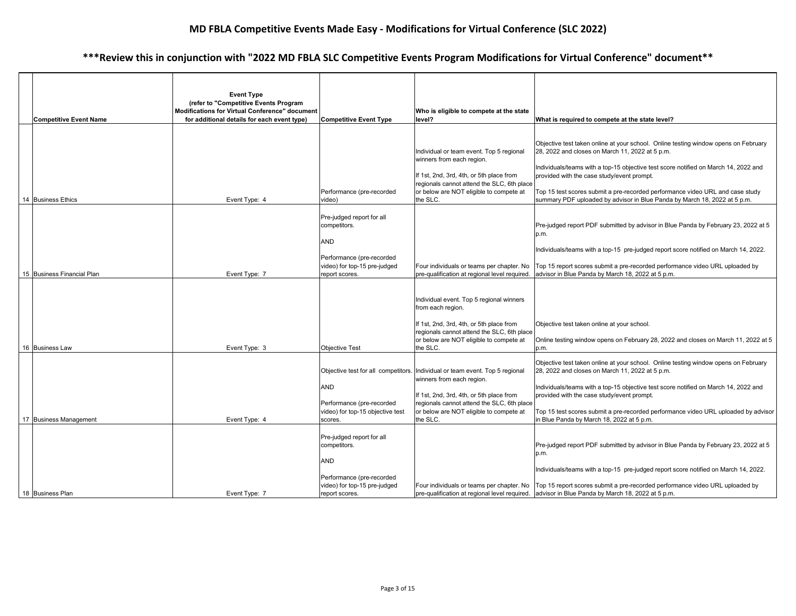| <b>Competitive Event Name</b> | <b>Event Type</b><br>(refer to "Competitive Events Program<br><b>Modifications for Virtual Conference" document</b><br>for additional details for each event type) | <b>Competitive Event Type</b>                                                                                                          | Who is eligible to compete at the state<br>level?                                                                                                                                                                      | What is required to compete at the state level?                                                                                                                                                                                                                                                                                                                                                                                           |
|-------------------------------|--------------------------------------------------------------------------------------------------------------------------------------------------------------------|----------------------------------------------------------------------------------------------------------------------------------------|------------------------------------------------------------------------------------------------------------------------------------------------------------------------------------------------------------------------|-------------------------------------------------------------------------------------------------------------------------------------------------------------------------------------------------------------------------------------------------------------------------------------------------------------------------------------------------------------------------------------------------------------------------------------------|
| 14 Business Ethics            | Event Type: 4                                                                                                                                                      | Performance (pre-recorded<br>video)                                                                                                    | Individual or team event. Top 5 regional<br>winners from each region.<br>If 1st, 2nd, 3rd, 4th, or 5th place from<br>regionals cannot attend the SLC, 6th place<br>or below are NOT eligible to compete at<br>the SLC. | Objective test taken online at your school. Online testing window opens on February<br>28, 2022 and closes on March 11, 2022 at 5 p.m.<br>Individuals/teams with a top-15 objective test score notified on March 14, 2022 and<br>provided with the case study/event prompt.<br>Top 15 test scores submit a pre-recorded performance video URL and case study<br>summary PDF uploaded by advisor in Blue Panda by March 18, 2022 at 5 p.m. |
| 15 Business Financial Plan    | Event Type: 7                                                                                                                                                      | Pre-judged report for all<br>competitors.<br><b>AND</b><br>Performance (pre-recorded<br>video) for top-15 pre-judged<br>report scores. | Four individuals or teams per chapter. No<br>pre-qualification at regional level required.                                                                                                                             | Pre-judged report PDF submitted by advisor in Blue Panda by February 23, 2022 at 5<br>p.m.<br>Individuals/teams with a top-15 pre-judged report score notified on March 14, 2022.<br>Top 15 report scores submit a pre-recorded performance video URL uploaded by<br>advisor in Blue Panda by March 18, 2022 at 5 p.m.                                                                                                                    |
| 16 Business Law               | Event Type: 3                                                                                                                                                      | <b>Objective Test</b>                                                                                                                  | Individual event. Top 5 regional winners<br>from each region.<br>If 1st, 2nd, 3rd, 4th, or 5th place from<br>regionals cannot attend the SLC, 6th place<br>or below are NOT eligible to compete at<br>the SLC.         | Objective test taken online at your school.<br>Online testing window opens on February 28, 2022 and closes on March 11, 2022 at 5<br>p.m.                                                                                                                                                                                                                                                                                                 |
| 17 Business Management        | Event Type: 4                                                                                                                                                      | Objective test for all competitors.<br>AND<br>Performance (pre-recorded<br>video) for top-15 objective test<br>scores.                 | Individual or team event. Top 5 regional<br>winners from each region.<br>If 1st, 2nd, 3rd, 4th, or 5th place from<br>regionals cannot attend the SLC, 6th place<br>or below are NOT eligible to compete at<br>the SLC. | Objective test taken online at your school. Online testing window opens on February<br>28, 2022 and closes on March 11, 2022 at 5 p.m.<br>Individuals/teams with a top-15 objective test score notified on March 14, 2022 and<br>provided with the case study/event prompt.<br>Top 15 test scores submit a pre-recorded performance video URL uploaded by advisor<br>in Blue Panda by March 18, 2022 at 5 p.m.                            |
| 18 Business Plan              | Event Type: 7                                                                                                                                                      | Pre-judged report for all<br>competitors.<br>AND<br>Performance (pre-recorded<br>video) for top-15 pre-judged<br>report scores.        |                                                                                                                                                                                                                        | Pre-judged report PDF submitted by advisor in Blue Panda by February 23, 2022 at 5<br>p.m.<br>Individuals/teams with a top-15 pre-judged report score notified on March 14, 2022.<br>Four individuals or teams per chapter. No   Top 15 report scores submit a pre-recorded performance video URL uploaded by<br>pre-qualification at regional level required. advisor in Blue Panda by March 18, 2022 at 5 p.m.                          |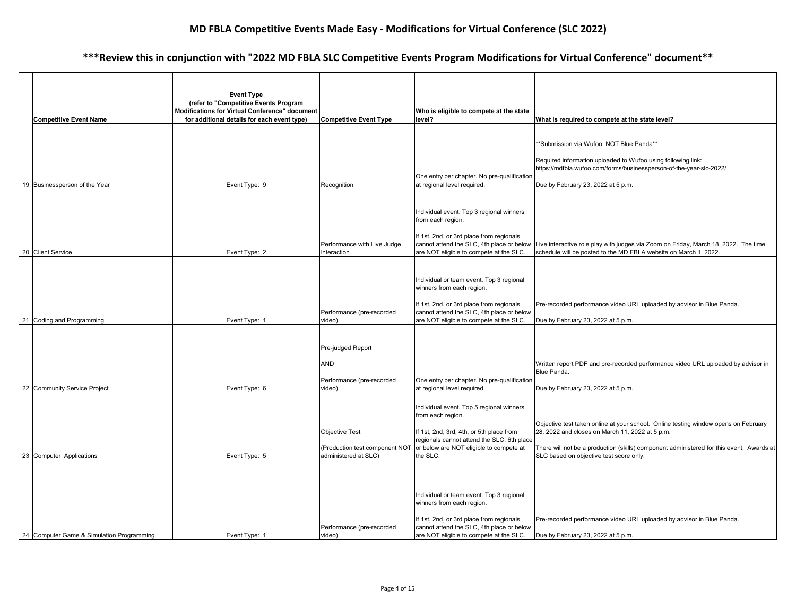| <b>Competitive Event Name</b>             | <b>Event Type</b><br>(refer to "Competitive Events Program<br>Modifications for Virtual Conference" document<br>for additional details for each event type) | <b>Competitive Event Type</b>              | Who is eligible to compete at the state<br>level?                                      | What is required to compete at the state level?                                                                                                                                                    |
|-------------------------------------------|-------------------------------------------------------------------------------------------------------------------------------------------------------------|--------------------------------------------|----------------------------------------------------------------------------------------|----------------------------------------------------------------------------------------------------------------------------------------------------------------------------------------------------|
|                                           |                                                                                                                                                             |                                            |                                                                                        | **Submission via Wufoo, NOT Blue Panda**                                                                                                                                                           |
|                                           |                                                                                                                                                             |                                            |                                                                                        | Required information uploaded to Wufoo using following link:                                                                                                                                       |
| 19 Businessperson of the Year             | Event Type: 9                                                                                                                                               | Recognition                                | One entry per chapter. No pre-qualification<br>at regional level required.             | https://mdfbla.wufoo.com/forms/businessperson-of-the-year-slc-2022/<br>Due by February 23, 2022 at 5 p.m.                                                                                          |
|                                           |                                                                                                                                                             |                                            |                                                                                        |                                                                                                                                                                                                    |
|                                           |                                                                                                                                                             |                                            | Individual event. Top 3 regional winners<br>from each region.                          |                                                                                                                                                                                                    |
| 20 Client Service                         | Event Type: 2                                                                                                                                               | Performance with Live Judge<br>Interaction | If 1st, 2nd, or 3rd place from regionals<br>are NOT eligible to compete at the SLC.    | cannot attend the SLC, 4th place or below  Live interactive role play with judges via Zoom on Friday, March 18, 2022. The time<br>schedule will be posted to the MD FBLA website on March 1, 2022. |
|                                           |                                                                                                                                                             |                                            |                                                                                        |                                                                                                                                                                                                    |
|                                           |                                                                                                                                                             |                                            | Individual or team event. Top 3 regional<br>winners from each region.                  |                                                                                                                                                                                                    |
|                                           |                                                                                                                                                             | Performance (pre-recorded                  | If 1st, 2nd, or 3rd place from regionals<br>cannot attend the SLC, 4th place or below  | Pre-recorded performance video URL uploaded by advisor in Blue Panda.                                                                                                                              |
| 21 Coding and Programming                 | Event Type: 1                                                                                                                                               | video)                                     | are NOT eligible to compete at the SLC.                                                | Due by February 23, 2022 at 5 p.m.                                                                                                                                                                 |
|                                           |                                                                                                                                                             |                                            |                                                                                        |                                                                                                                                                                                                    |
|                                           |                                                                                                                                                             | Pre-judged Report                          |                                                                                        |                                                                                                                                                                                                    |
|                                           |                                                                                                                                                             | <b>AND</b>                                 |                                                                                        | Written report PDF and pre-recorded performance video URL uploaded by advisor in<br>Blue Panda.                                                                                                    |
|                                           |                                                                                                                                                             | Performance (pre-recorded                  | One entry per chapter. No pre-qualification                                            |                                                                                                                                                                                                    |
| 22 Community Service Project              | Event Type: 6                                                                                                                                               | video)                                     | at regional level required.                                                            | Due by February 23, 2022 at 5 p.m.                                                                                                                                                                 |
|                                           |                                                                                                                                                             |                                            | Individual event. Top 5 regional winners<br>from each region.                          |                                                                                                                                                                                                    |
|                                           |                                                                                                                                                             | <b>Objective Test</b>                      | If 1st, 2nd, 3rd, 4th, or 5th place from<br>regionals cannot attend the SLC, 6th place | Objective test taken online at your school. Online testing window opens on February<br>28, 2022 and closes on March 11, 2022 at 5 p.m.                                                             |
|                                           |                                                                                                                                                             | (Production test component NOT             | or below are NOT eligible to compete at                                                | There will not be a production (skills) component administered for this event. Awards at                                                                                                           |
| 23 Computer Applications                  | Event Type: 5                                                                                                                                               | administered at SLC)                       | the SLC.                                                                               | SLC based on objective test score only.                                                                                                                                                            |
|                                           |                                                                                                                                                             |                                            |                                                                                        |                                                                                                                                                                                                    |
|                                           |                                                                                                                                                             |                                            | Individual or team event. Top 3 regional<br>winners from each region.                  |                                                                                                                                                                                                    |
|                                           |                                                                                                                                                             | Performance (pre-recorded                  | If 1st, 2nd, or 3rd place from regionals<br>cannot attend the SLC, 4th place or below  | Pre-recorded performance video URL uploaded by advisor in Blue Panda.                                                                                                                              |
| 24 Computer Game & Simulation Programming | Event Type: 1                                                                                                                                               | video)                                     | are NOT eligible to compete at the SLC.                                                | Due by February 23, 2022 at 5 p.m.                                                                                                                                                                 |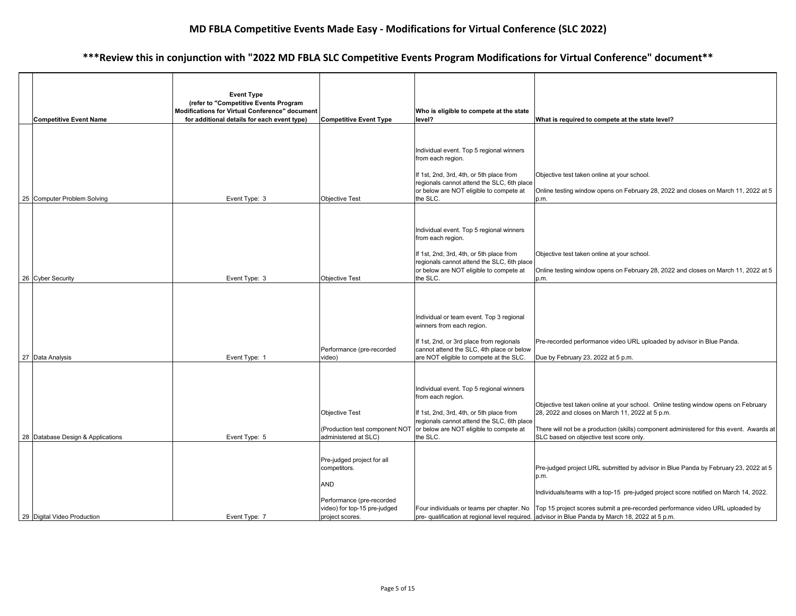|  | <b>Competitive Event Name</b>     | <b>Event Type</b><br>(refer to "Competitive Events Program<br><b>Modifications for Virtual Conference" document</b><br>for additional details for each event type) | <b>Competitive Event Type</b>                                                  | Who is eligible to compete at the state<br>level?                                                                                                       | What is required to compete at the state level?                                                                                                                                                                               |
|--|-----------------------------------|--------------------------------------------------------------------------------------------------------------------------------------------------------------------|--------------------------------------------------------------------------------|---------------------------------------------------------------------------------------------------------------------------------------------------------|-------------------------------------------------------------------------------------------------------------------------------------------------------------------------------------------------------------------------------|
|  |                                   |                                                                                                                                                                    |                                                                                |                                                                                                                                                         |                                                                                                                                                                                                                               |
|  |                                   |                                                                                                                                                                    |                                                                                | Individual event. Top 5 regional winners<br>from each region.                                                                                           |                                                                                                                                                                                                                               |
|  |                                   |                                                                                                                                                                    |                                                                                | If 1st, 2nd, 3rd, 4th, or 5th place from                                                                                                                | Objective test taken online at your school.                                                                                                                                                                                   |
|  |                                   |                                                                                                                                                                    |                                                                                | regionals cannot attend the SLC, 6th place<br>or below are NOT eligible to compete at                                                                   | Online testing window opens on February 28, 2022 and closes on March 11, 2022 at 5                                                                                                                                            |
|  | 25 Computer Problem Solving       | Event Type: 3                                                                                                                                                      | <b>Objective Test</b>                                                          | the SLC.                                                                                                                                                | p.m.                                                                                                                                                                                                                          |
|  |                                   |                                                                                                                                                                    |                                                                                |                                                                                                                                                         |                                                                                                                                                                                                                               |
|  |                                   |                                                                                                                                                                    |                                                                                | Individual event. Top 5 regional winners<br>from each region.                                                                                           |                                                                                                                                                                                                                               |
|  |                                   |                                                                                                                                                                    |                                                                                | If 1st, 2nd, 3rd, 4th, or 5th place from                                                                                                                | Objective test taken online at your school.                                                                                                                                                                                   |
|  |                                   |                                                                                                                                                                    |                                                                                | regionals cannot attend the SLC, 6th place<br>or below are NOT eligible to compete at                                                                   | Online testing window opens on February 28, 2022 and closes on March 11, 2022 at 5                                                                                                                                            |
|  | 26 Cyber Security                 | Event Type: 3                                                                                                                                                      | <b>Objective Test</b>                                                          | the SLC.                                                                                                                                                | p.m.                                                                                                                                                                                                                          |
|  |                                   |                                                                                                                                                                    |                                                                                | Individual or team event. Top 3 regional<br>winners from each region.<br>If 1st, 2nd, or 3rd place from regionals                                       | Pre-recorded performance video URL uploaded by advisor in Blue Panda.                                                                                                                                                         |
|  |                                   |                                                                                                                                                                    | Performance (pre-recorded                                                      | cannot attend the SLC, 4th place or below                                                                                                               |                                                                                                                                                                                                                               |
|  | 27 Data Analysis                  | Event Type: 1                                                                                                                                                      | video)                                                                         | are NOT eligible to compete at the SLC.                                                                                                                 | Due by February 23, 2022 at 5 p.m.                                                                                                                                                                                            |
|  |                                   |                                                                                                                                                                    | <b>Objective Test</b>                                                          | Individual event. Top 5 regional winners<br>from each region.<br>If 1st, 2nd, 3rd, 4th, or 5th place from<br>regionals cannot attend the SLC, 6th place | Objective test taken online at your school. Online testing window opens on February<br>28, 2022 and closes on March 11, 2022 at 5 p.m.                                                                                        |
|  | 28 Database Design & Applications | Event Type: 5                                                                                                                                                      | (Production test component NOT<br>administered at SLC)                         | or below are NOT eligible to compete at<br>the SLC.                                                                                                     | There will not be a production (skills) component administered for this event. Awards at<br>SLC based on objective test score only.                                                                                           |
|  |                                   |                                                                                                                                                                    | Pre-judged project for all<br>competitors.<br>AND<br>Performance (pre-recorded |                                                                                                                                                         | Pre-judged project URL submitted by advisor in Blue Panda by February 23, 2022 at 5<br>p.m.<br>Individuals/teams with a top-15 pre-judged project score notified on March 14, 2022.                                           |
|  | 29 Digital Video Production       | Event Type: 7                                                                                                                                                      | video) for top-15 pre-judged<br>project scores.                                |                                                                                                                                                         | Four individuals or teams per chapter. No   Top 15 project scores submit a pre-recorded performance video URL uploaded by<br>pre- qualification at regional level required. advisor in Blue Panda by March 18, 2022 at 5 p.m. |
|  |                                   |                                                                                                                                                                    |                                                                                |                                                                                                                                                         |                                                                                                                                                                                                                               |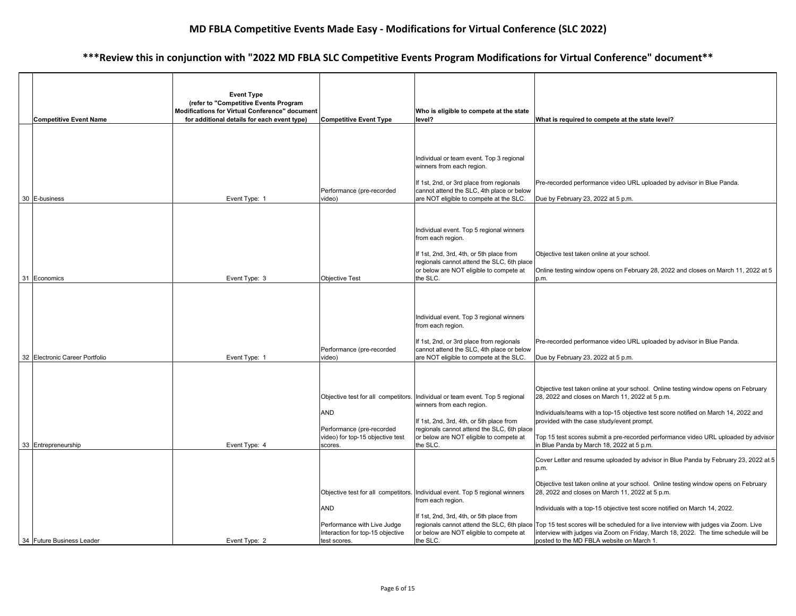|  | <b>Competitive Event Name</b>  | <b>Event Type</b><br>(refer to "Competitive Events Program<br>Modifications for Virtual Conference" document<br>for additional details for each event type) | <b>Competitive Event Type</b>                                                                                                        | Who is eligible to compete at the state<br>level?                                                                                                                                                                      | What is required to compete at the state level?                                                                                                                                                                                                                                                                                                                                                                                                                                                                                                                                            |
|--|--------------------------------|-------------------------------------------------------------------------------------------------------------------------------------------------------------|--------------------------------------------------------------------------------------------------------------------------------------|------------------------------------------------------------------------------------------------------------------------------------------------------------------------------------------------------------------------|--------------------------------------------------------------------------------------------------------------------------------------------------------------------------------------------------------------------------------------------------------------------------------------------------------------------------------------------------------------------------------------------------------------------------------------------------------------------------------------------------------------------------------------------------------------------------------------------|
|  | 30 E-business                  | Event Type: 1                                                                                                                                               | Performance (pre-recorded<br>video)                                                                                                  | Individual or team event. Top 3 regional<br>winners from each region.<br>If 1st, 2nd, or 3rd place from regionals<br>cannot attend the SLC, 4th place or below<br>are NOT eligible to compete at the SLC.              | Pre-recorded performance video URL uploaded by advisor in Blue Panda.<br>Due by February 23, 2022 at 5 p.m.                                                                                                                                                                                                                                                                                                                                                                                                                                                                                |
|  | 31 Economics                   | Event Type: 3                                                                                                                                               | <b>Objective Test</b>                                                                                                                | Individual event. Top 5 regional winners<br>from each region.<br>If 1st, 2nd, 3rd, 4th, or 5th place from<br>regionals cannot attend the SLC, 6th place<br>or below are NOT eligible to compete at<br>the SLC.         | Objective test taken online at your school.<br>Online testing window opens on February 28, 2022 and closes on March 11, 2022 at 5<br>p.m.                                                                                                                                                                                                                                                                                                                                                                                                                                                  |
|  | 32 Electronic Career Portfolio | Event Type: 1                                                                                                                                               | Performance (pre-recorded<br>video)                                                                                                  | Individual event. Top 3 regional winners<br>from each region.<br>If 1st, 2nd, or 3rd place from regionals<br>cannot attend the SLC, 4th place or below<br>are NOT eligible to compete at the SLC.                      | Pre-recorded performance video URL uploaded by advisor in Blue Panda.<br>Due by February 23, 2022 at 5 p.m.                                                                                                                                                                                                                                                                                                                                                                                                                                                                                |
|  | 33 Entrepreneurship            | Event Type: 4                                                                                                                                               | Objective test for all competitors.<br><b>AND</b><br>Performance (pre-recorded<br>video) for top-15 objective test<br>scores.        | Individual or team event. Top 5 regional<br>winners from each region.<br>If 1st, 2nd, 3rd, 4th, or 5th place from<br>regionals cannot attend the SLC, 6th place<br>or below are NOT eligible to compete at<br>the SLC. | Objective test taken online at your school. Online testing window opens on February<br>28, 2022 and closes on March 11, 2022 at 5 p.m.<br>Individuals/teams with a top-15 objective test score notified on March 14, 2022 and<br>provided with the case study/event prompt.<br>Top 15 test scores submit a pre-recorded performance video URL uploaded by advisor<br>in Blue Panda by March 18, 2022 at 5 p.m.                                                                                                                                                                             |
|  | 34 Future Business Leader      | Event Type: 2                                                                                                                                               | Objective test for all competitors.<br><b>AND</b><br>Performance with Live Judge<br>Interaction for top-15 objective<br>test scores. | Individual event. Top 5 regional winners<br>from each region.<br>If 1st, 2nd, 3rd, 4th, or 5th place from<br>or below are NOT eligible to compete at<br>the SLC.                                                       | Cover Letter and resume uploaded by advisor in Blue Panda by February 23, 2022 at 5<br>p.m.<br>Objective test taken online at your school. Online testing window opens on February<br>28, 2022 and closes on March 11, 2022 at 5 p.m.<br>Individuals with a top-15 objective test score notified on March 14, 2022.<br>regionals cannot attend the SLC, 6th place Top 15 test scores will be scheduled for a live interview with judges via Zoom. Live<br>interview with judges via Zoom on Friday, March 18, 2022. The time schedule will be<br>posted to the MD FBLA website on March 1. |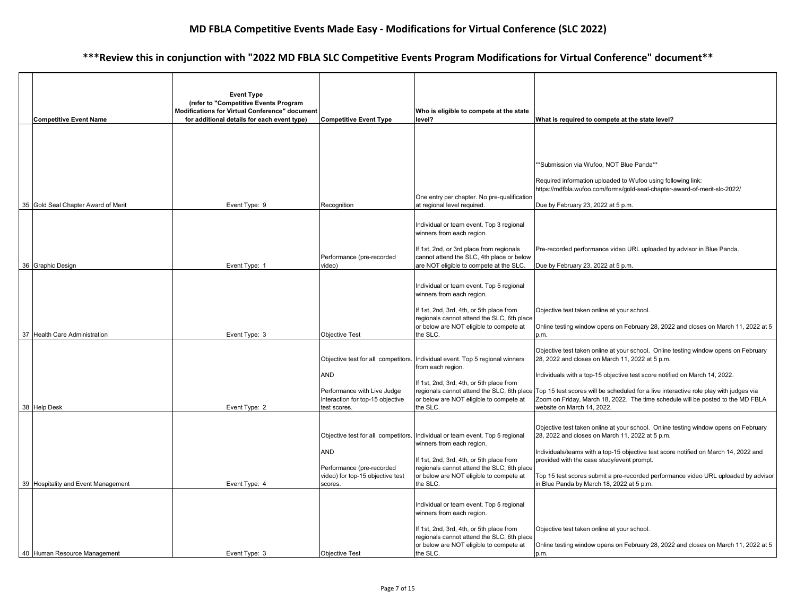|                                     | <b>Event Type</b>                                                                       |                                                                 |                                                                                                                                                                 |                                                                                                                                                                                                                     |
|-------------------------------------|-----------------------------------------------------------------------------------------|-----------------------------------------------------------------|-----------------------------------------------------------------------------------------------------------------------------------------------------------------|---------------------------------------------------------------------------------------------------------------------------------------------------------------------------------------------------------------------|
|                                     | (refer to "Competitive Events Program<br>Modifications for Virtual Conference" document |                                                                 | Who is eligible to compete at the state                                                                                                                         |                                                                                                                                                                                                                     |
| <b>Competitive Event Name</b>       | for additional details for each event type)                                             | <b>Competitive Event Type</b>                                   | level?                                                                                                                                                          | What is required to compete at the state level?                                                                                                                                                                     |
|                                     |                                                                                         |                                                                 |                                                                                                                                                                 |                                                                                                                                                                                                                     |
|                                     |                                                                                         |                                                                 |                                                                                                                                                                 | **Submission via Wufoo, NOT Blue Panda**                                                                                                                                                                            |
|                                     |                                                                                         |                                                                 |                                                                                                                                                                 | Required information uploaded to Wufoo using following link:<br>https://mdfbla.wufoo.com/forms/gold-seal-chapter-award-of-merit-slc-2022/                                                                           |
|                                     |                                                                                         |                                                                 | One entry per chapter. No pre-qualification                                                                                                                     |                                                                                                                                                                                                                     |
| 35 Gold Seal Chapter Award of Merit | Event Type: 9                                                                           | Recognition                                                     | at regional level required.                                                                                                                                     | Due by February 23, 2022 at 5 p.m.                                                                                                                                                                                  |
|                                     |                                                                                         |                                                                 | Individual or team event. Top 3 regional<br>winners from each region.                                                                                           |                                                                                                                                                                                                                     |
|                                     |                                                                                         | Performance (pre-recorded                                       | If 1st, 2nd, or 3rd place from regionals<br>cannot attend the SLC, 4th place or below                                                                           | Pre-recorded performance video URL uploaded by advisor in Blue Panda.                                                                                                                                               |
| 36 Graphic Design                   | Event Type: 1                                                                           | video)                                                          | are NOT eligible to compete at the SLC.                                                                                                                         | Due by February 23, 2022 at 5 p.m.                                                                                                                                                                                  |
|                                     |                                                                                         |                                                                 | Individual or team event. Top 5 regional<br>winners from each region.                                                                                           |                                                                                                                                                                                                                     |
|                                     |                                                                                         |                                                                 | If 1st, 2nd, 3rd, 4th, or 5th place from<br>regionals cannot attend the SLC, 6th place                                                                          | Objective test taken online at your school.                                                                                                                                                                         |
| 37 Health Care Administration       | Event Type: 3                                                                           | <b>Objective Test</b>                                           | or below are NOT eligible to compete at<br>the SLC.                                                                                                             | Online testing window opens on February 28, 2022 and closes on March 11, 2022 at 5<br>p.m.                                                                                                                          |
|                                     |                                                                                         |                                                                 |                                                                                                                                                                 |                                                                                                                                                                                                                     |
|                                     |                                                                                         | Objective test for all competitors.                             | Individual event. Top 5 regional winners<br>from each region.                                                                                                   | Objective test taken online at your school. Online testing window opens on February<br>28, 2022 and closes on March 11, 2022 at 5 p.m.                                                                              |
|                                     |                                                                                         | <b>AND</b>                                                      |                                                                                                                                                                 | Individuals with a top-15 objective test score notified on March 14, 2022.                                                                                                                                          |
|                                     |                                                                                         | Performance with Live Judge<br>Interaction for top-15 objective | If 1st, 2nd, 3rd, 4th, or 5th place from<br>or below are NOT eligible to compete at                                                                             | regionals cannot attend the SLC, 6th place Top 15 test scores will be scheduled for a live interactive role play with judges via<br>Zoom on Friday, March 18, 2022. The time schedule will be posted to the MD FBLA |
| 38 Help Desk                        | Event Type: 2                                                                           | test scores.                                                    | the SLC.                                                                                                                                                        | website on March 14, 2022.                                                                                                                                                                                          |
|                                     |                                                                                         | Objective test for all competitors.                             | Individual or team event. Top 5 regional<br>winners from each region.                                                                                           | Objective test taken online at your school. Online testing window opens on February<br>28, 2022 and closes on March 11, 2022 at 5 p.m.                                                                              |
|                                     |                                                                                         | <b>AND</b>                                                      | If 1st, 2nd, 3rd, 4th, or 5th place from                                                                                                                        | Individuals/teams with a top-15 objective test score notified on March 14, 2022 and<br>provided with the case study/event prompt.                                                                                   |
|                                     |                                                                                         | Performance (pre-recorded                                       | regionals cannot attend the SLC, 6th place<br>or below are NOT eligible to compete at                                                                           |                                                                                                                                                                                                                     |
| 39 Hospitality and Event Management | Event Type: 4                                                                           | video) for top-15 objective test<br>scores.                     | the SLC.                                                                                                                                                        | Top 15 test scores submit a pre-recorded performance video URL uploaded by advisor<br>in Blue Panda by March 18, 2022 at 5 p.m.                                                                                     |
|                                     |                                                                                         |                                                                 | Individual or team event. Top 5 regional<br>winners from each region.<br>If 1st, 2nd, 3rd, 4th, or 5th place from<br>regionals cannot attend the SLC, 6th place | Objective test taken online at your school.                                                                                                                                                                         |
| 40 Human Resource Management        | Event Type: 3                                                                           | <b>Objective Test</b>                                           | or below are NOT eligible to compete at<br>the SLC.                                                                                                             | Online testing window opens on February 28, 2022 and closes on March 11, 2022 at 5<br>b.m.                                                                                                                          |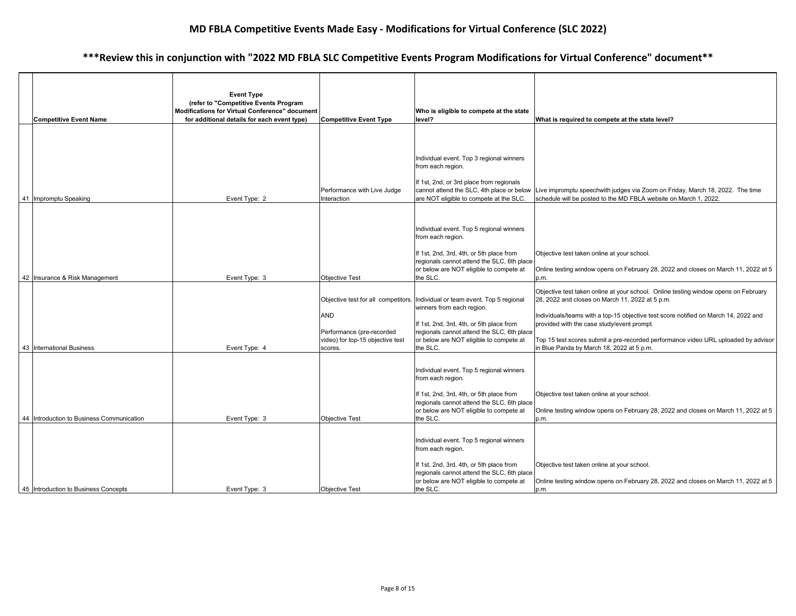|  | <b>Competitive Event Name</b>             | <b>Event Type</b><br>(refer to "Competitive Events Program<br>Modifications for Virtual Conference" document<br>for additional details for each event type) | <b>Competitive Event Type</b>                                                                                                 | Who is eligible to compete at the state<br>level?                                                                                                                                                                      | What is required to compete at the state level?                                                                                                                                                                                                                                                                                                                                                                |
|--|-------------------------------------------|-------------------------------------------------------------------------------------------------------------------------------------------------------------|-------------------------------------------------------------------------------------------------------------------------------|------------------------------------------------------------------------------------------------------------------------------------------------------------------------------------------------------------------------|----------------------------------------------------------------------------------------------------------------------------------------------------------------------------------------------------------------------------------------------------------------------------------------------------------------------------------------------------------------------------------------------------------------|
|  | 41 Impromptu Speaking                     | Event Type: 2                                                                                                                                               | Performance with Live Judge<br>Interaction                                                                                    | Individual event. Top 3 regional winners<br>from each region.<br>If 1st, 2nd, or 3rd place from regionals<br>are NOT eligible to compete at the SLC.                                                                   | cannot attend the SLC, 4th place or below Live impromptu speechwith judges via Zoom on Friday, March 18, 2022. The time<br>schedule will be posted to the MD FBLA website on March 1, 2022.                                                                                                                                                                                                                    |
|  | 42 Insurance & Risk Management            | Event Type: 3                                                                                                                                               | <b>Objective Test</b>                                                                                                         | Individual event. Top 5 regional winners<br>from each region.<br>If 1st, 2nd, 3rd, 4th, or 5th place from<br>regionals cannot attend the SLC, 6th place<br>or below are NOT eligible to compete at<br>the SLC.         | Objective test taken online at your school.<br>Online testing window opens on February 28, 2022 and closes on March 11, 2022 at 5<br>p.m.                                                                                                                                                                                                                                                                      |
|  | 43 International Business                 | Event Type: 4                                                                                                                                               | Objective test for all competitors.<br><b>AND</b><br>Performance (pre-recorded<br>video) for top-15 objective test<br>scores. | Individual or team event. Top 5 regional<br>winners from each region.<br>If 1st, 2nd, 3rd, 4th, or 5th place from<br>regionals cannot attend the SLC, 6th place<br>or below are NOT eligible to compete at<br>the SLC. | Objective test taken online at your school. Online testing window opens on February<br>28, 2022 and closes on March 11, 2022 at 5 p.m.<br>Individuals/teams with a top-15 objective test score notified on March 14, 2022 and<br>provided with the case study/event prompt.<br>Top 15 test scores submit a pre-recorded performance video URL uploaded by advisor<br>in Blue Panda by March 18, 2022 at 5 p.m. |
|  | 44 Introduction to Business Communication | Event Type: 3                                                                                                                                               | <b>Objective Test</b>                                                                                                         | Individual event. Top 5 regional winners<br>from each region.<br>If 1st, 2nd, 3rd, 4th, or 5th place from<br>regionals cannot attend the SLC, 6th place<br>or below are NOT eligible to compete at<br>the SLC.         | Objective test taken online at your school.<br>Online testing window opens on February 28, 2022 and closes on March 11, 2022 at 5<br>p.m.                                                                                                                                                                                                                                                                      |
|  | 45 Introduction to Business Concepts      | Event Type: 3                                                                                                                                               | <b>Objective Test</b>                                                                                                         | Individual event. Top 5 regional winners<br>from each region.<br>If 1st, 2nd, 3rd, 4th, or 5th place from<br>regionals cannot attend the SLC, 6th place<br>or below are NOT eligible to compete at<br>the SLC.         | Objective test taken online at your school.<br>Online testing window opens on February 28, 2022 and closes on March 11, 2022 at 5<br>p.m.                                                                                                                                                                                                                                                                      |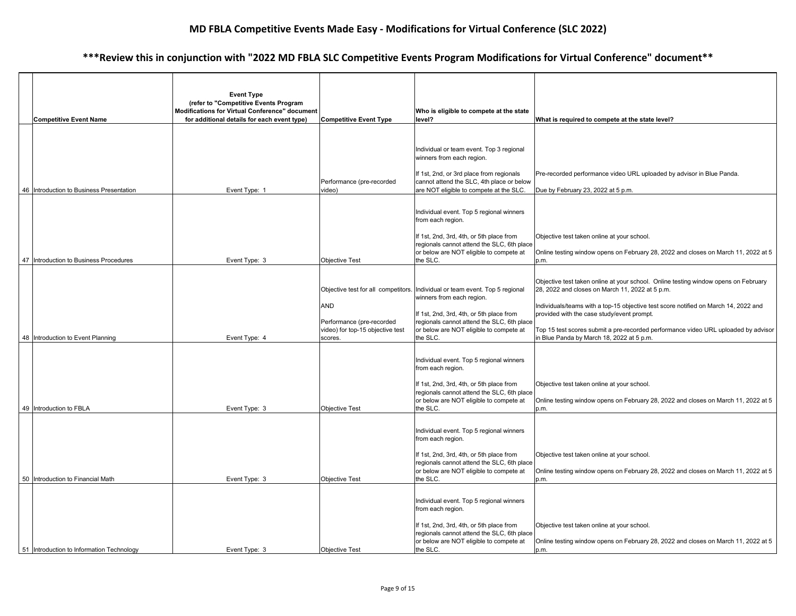| <b>Competitive Event Name</b>             | <b>Event Type</b><br>(refer to "Competitive Events Program<br>Modifications for Virtual Conference" document<br>for additional details for each event type) | <b>Competitive Event Type</b>                                 | Who is eligible to compete at the state<br>level?                                      | What is required to compete at the state level?                                                                                        |
|-------------------------------------------|-------------------------------------------------------------------------------------------------------------------------------------------------------------|---------------------------------------------------------------|----------------------------------------------------------------------------------------|----------------------------------------------------------------------------------------------------------------------------------------|
|                                           |                                                                                                                                                             |                                                               |                                                                                        |                                                                                                                                        |
|                                           |                                                                                                                                                             |                                                               | Individual or team event. Top 3 regional<br>winners from each region.                  |                                                                                                                                        |
|                                           |                                                                                                                                                             | Performance (pre-recorded                                     | If 1st, 2nd, or 3rd place from regionals<br>cannot attend the SLC, 4th place or below  | Pre-recorded performance video URL uploaded by advisor in Blue Panda.                                                                  |
| 46 Introduction to Business Presentation  | Event Type: 1                                                                                                                                               | video)                                                        | are NOT eligible to compete at the SLC.                                                | Due by February 23, 2022 at 5 p.m.                                                                                                     |
|                                           |                                                                                                                                                             |                                                               | Individual event. Top 5 regional winners<br>from each region.                          |                                                                                                                                        |
|                                           |                                                                                                                                                             |                                                               | If 1st, 2nd, 3rd, 4th, or 5th place from<br>regionals cannot attend the SLC, 6th place | Objective test taken online at your school.                                                                                            |
| 47 Introduction to Business Procedures    | Event Type: 3                                                                                                                                               | <b>Objective Test</b>                                         | or below are NOT eligible to compete at<br>the SLC.                                    | Online testing window opens on February 28, 2022 and closes on March 11, 2022 at 5<br>p.m.                                             |
|                                           |                                                                                                                                                             | Objective test for all competitors.                           | Individual or team event. Top 5 regional                                               | Objective test taken online at your school. Online testing window opens on February<br>28, 2022 and closes on March 11, 2022 at 5 p.m. |
|                                           |                                                                                                                                                             | <b>AND</b>                                                    | winners from each region.                                                              |                                                                                                                                        |
|                                           |                                                                                                                                                             |                                                               | If 1st, 2nd, 3rd, 4th, or 5th place from                                               | Individuals/teams with a top-15 objective test score notified on March 14, 2022 and<br>provided with the case study/event prompt.      |
|                                           |                                                                                                                                                             | Performance (pre-recorded<br>video) for top-15 objective test | regionals cannot attend the SLC, 6th place<br>or below are NOT eligible to compete at  | Top 15 test scores submit a pre-recorded performance video URL uploaded by advisor                                                     |
| 48 Introduction to Event Planning         | Event Type: 4                                                                                                                                               | scores.                                                       | the SLC.                                                                               | in Blue Panda by March 18, 2022 at 5 p.m.                                                                                              |
|                                           |                                                                                                                                                             |                                                               | Individual event. Top 5 regional winners<br>from each region.                          |                                                                                                                                        |
|                                           |                                                                                                                                                             |                                                               | If 1st, 2nd, 3rd, 4th, or 5th place from<br>regionals cannot attend the SLC, 6th place | Objective test taken online at your school.                                                                                            |
| 49 Introduction to FBLA                   | Event Type: 3                                                                                                                                               | <b>Objective Test</b>                                         | or below are NOT eligible to compete at<br>the SLC.                                    | Online testing window opens on February 28, 2022 and closes on March 11, 2022 at 5<br>p.m.                                             |
|                                           |                                                                                                                                                             |                                                               | Individual event. Top 5 regional winners<br>from each region.                          |                                                                                                                                        |
|                                           |                                                                                                                                                             |                                                               | If 1st, 2nd, 3rd, 4th, or 5th place from<br>regionals cannot attend the SLC, 6th place | Objective test taken online at your school.                                                                                            |
| 50   Introduction to Financial Math       | Event Type: 3                                                                                                                                               | <b>Objective Test</b>                                         | or below are NOT eligible to compete at<br>the SLC.                                    | Online testing window opens on February 28, 2022 and closes on March 11, 2022 at 5<br>p.m.                                             |
|                                           |                                                                                                                                                             |                                                               |                                                                                        |                                                                                                                                        |
|                                           |                                                                                                                                                             |                                                               | Individual event. Top 5 regional winners<br>from each region.                          |                                                                                                                                        |
|                                           |                                                                                                                                                             |                                                               | If 1st, 2nd, 3rd, 4th, or 5th place from<br>regionals cannot attend the SLC, 6th place | Objective test taken online at your school.                                                                                            |
| 51 Introduction to Information Technology | Event Type: 3                                                                                                                                               | <b>Objective Test</b>                                         | or below are NOT eligible to compete at<br>the SLC.                                    | Online testing window opens on February 28, 2022 and closes on March 11, 2022 at 5<br>p.m.                                             |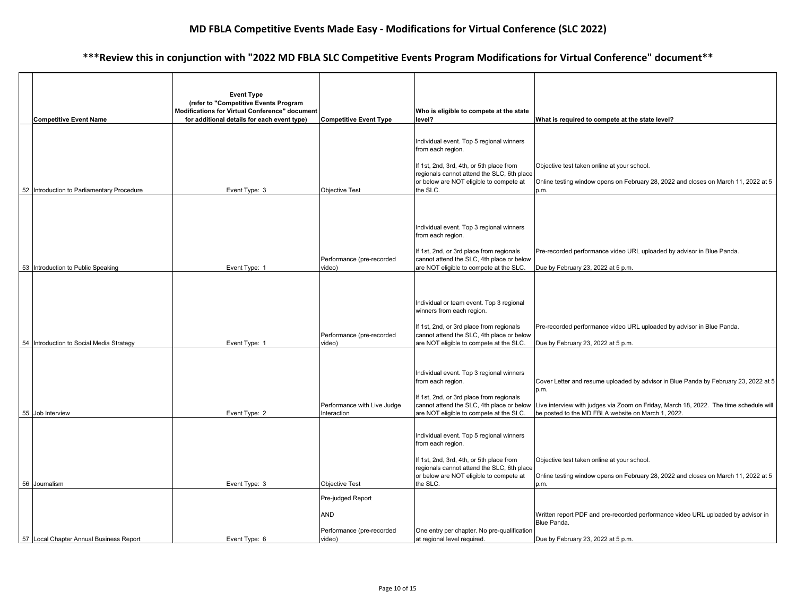|    | <b>Competitive Event Name</b>              | <b>Event Type</b><br>(refer to "Competitive Events Program<br>Modifications for Virtual Conference" document<br>for additional details for each event type) | <b>Competitive Event Type</b>                                          | Who is eligible to compete at the state<br>level?                                                                                                                                                              | What is required to compete at the state level?                                                                                                                                                                                            |
|----|--------------------------------------------|-------------------------------------------------------------------------------------------------------------------------------------------------------------|------------------------------------------------------------------------|----------------------------------------------------------------------------------------------------------------------------------------------------------------------------------------------------------------|--------------------------------------------------------------------------------------------------------------------------------------------------------------------------------------------------------------------------------------------|
|    | 52 Introduction to Parliamentary Procedure | Event Type: 3                                                                                                                                               | <b>Objective Test</b>                                                  | Individual event. Top 5 regional winners<br>from each region.<br>If 1st, 2nd, 3rd, 4th, or 5th place from<br>regionals cannot attend the SLC, 6th place<br>or below are NOT eligible to compete at<br>the SLC. | Objective test taken online at your school.<br>Online testing window opens on February 28, 2022 and closes on March 11, 2022 at 5<br>p.m.                                                                                                  |
|    | 53 Introduction to Public Speaking         | Event Type: 1                                                                                                                                               | Performance (pre-recorded<br>video)                                    | Individual event. Top 3 regional winners<br>from each region.<br>If 1st, 2nd, or 3rd place from regionals<br>cannot attend the SLC, 4th place or below<br>are NOT eligible to compete at the SLC.              | Pre-recorded performance video URL uploaded by advisor in Blue Panda.<br>Due by February 23, 2022 at 5 p.m.                                                                                                                                |
|    | 54 Introduction to Social Media Strategy   | Event Type: 1                                                                                                                                               | Performance (pre-recorded<br>video)                                    | Individual or team event. Top 3 regional<br>winners from each region.<br>If 1st, 2nd, or 3rd place from regionals<br>cannot attend the SLC, 4th place or below<br>are NOT eligible to compete at the SLC.      | Pre-recorded performance video URL uploaded by advisor in Blue Panda.<br>Due by February 23, 2022 at 5 p.m.                                                                                                                                |
|    | 55 Job Interview                           | Event Type: 2                                                                                                                                               | Performance with Live Judge<br>Interaction                             | Individual event. Top 3 regional winners<br>from each region.<br>If 1st, 2nd, or 3rd place from regionals<br>cannot attend the SLC, 4th place or below<br>are NOT eligible to compete at the SLC.              | Cover Letter and resume uploaded by advisor in Blue Panda by February 23, 2022 at 5<br>p.m.<br>Live interview with judges via Zoom on Friday, March 18, 2022. The time schedule will<br>be posted to the MD FBLA website on March 1, 2022. |
|    | 56 Journalism                              | Event Type: 3                                                                                                                                               | <b>Objective Test</b>                                                  | Individual event. Top 5 regional winners<br>from each region.<br>If 1st, 2nd, 3rd, 4th, or 5th place from<br>regionals cannot attend the SLC, 6th place<br>or below are NOT eligible to compete at<br>the SLC. | Objective test taken online at your school.<br>Online testing window opens on February 28, 2022 and closes on March 11, 2022 at 5<br>p.m.                                                                                                  |
| 57 | Local Chapter Annual Business Report       | Event Type: 6                                                                                                                                               | Pre-judged Report<br><b>AND</b><br>Performance (pre-recorded<br>video) | One entry per chapter. No pre-qualification<br>at regional level required.                                                                                                                                     | Written report PDF and pre-recorded performance video URL uploaded by advisor in<br>Blue Panda.<br>Due by February 23, 2022 at 5 p.m.                                                                                                      |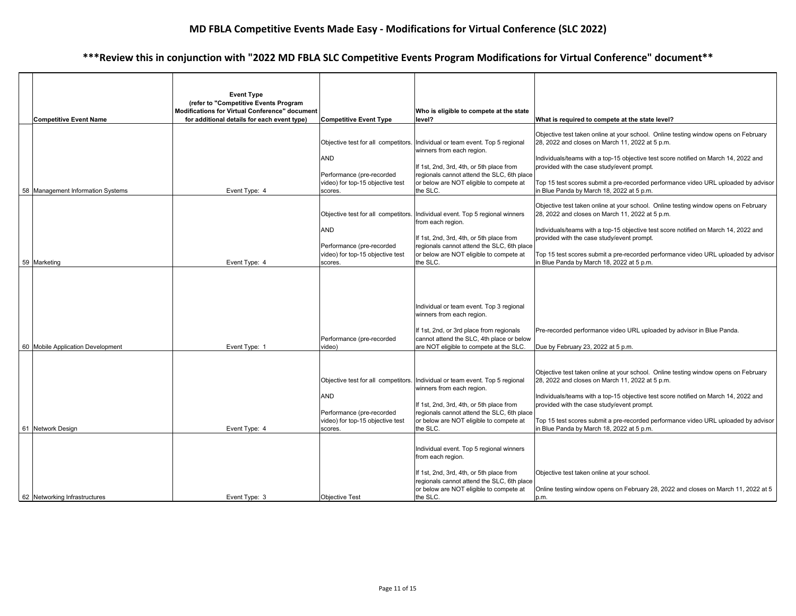|                                   | <b>Event Type</b><br>(refer to "Competitive Events Program |                                                               |                                                                                                                                   |                                                                                                                                                                                                                               |
|-----------------------------------|------------------------------------------------------------|---------------------------------------------------------------|-----------------------------------------------------------------------------------------------------------------------------------|-------------------------------------------------------------------------------------------------------------------------------------------------------------------------------------------------------------------------------|
| <b>Competitive Event Name</b>     | Modifications for Virtual Conference" document             |                                                               | Who is eligible to compete at the state                                                                                           |                                                                                                                                                                                                                               |
|                                   | for additional details for each event type)                | <b>Competitive Event Type</b>                                 | level?                                                                                                                            | What is required to compete at the state level?                                                                                                                                                                               |
|                                   |                                                            | Objective test for all competitors.                           | Individual or team event. Top 5 regional<br>winners from each region.                                                             | Objective test taken online at your school. Online testing window opens on February<br>28, 2022 and closes on March 11, 2022 at 5 p.m.                                                                                        |
|                                   |                                                            | <b>AND</b>                                                    | If 1st, 2nd, 3rd, 4th, or 5th place from                                                                                          | Individuals/teams with a top-15 objective test score notified on March 14, 2022 and<br>provided with the case study/event prompt.                                                                                             |
|                                   |                                                            | Performance (pre-recorded<br>video) for top-15 objective test | regionals cannot attend the SLC, 6th place<br>or below are NOT eligible to compete at                                             | Top 15 test scores submit a pre-recorded performance video URL uploaded by advisor                                                                                                                                            |
| 58 Management Information Systems | Event Type: 4                                              | scores.                                                       | the SLC.                                                                                                                          | in Blue Panda by March 18, 2022 at 5 p.m.                                                                                                                                                                                     |
|                                   |                                                            |                                                               | Objective test for all competitors. Individual event. Top 5 regional winners<br>from each region.                                 | Objective test taken online at your school. Online testing window opens on February<br>28, 2022 and closes on March 11, 2022 at 5 p.m.                                                                                        |
|                                   |                                                            | <b>AND</b>                                                    | If 1st, 2nd, 3rd, 4th, or 5th place from                                                                                          | Individuals/teams with a top-15 objective test score notified on March 14, 2022 and<br>provided with the case study/event prompt.                                                                                             |
|                                   |                                                            | Performance (pre-recorded<br>video) for top-15 objective test | regionals cannot attend the SLC, 6th place<br>or below are NOT eligible to compete at                                             | Top 15 test scores submit a pre-recorded performance video URL uploaded by advisor                                                                                                                                            |
| 59 Marketing                      | Event Type: 4                                              | scores.                                                       | the SLC.                                                                                                                          | in Blue Panda by March 18, 2022 at 5 p.m.                                                                                                                                                                                     |
|                                   |                                                            |                                                               | Individual or team event. Top 3 regional<br>winners from each region.                                                             |                                                                                                                                                                                                                               |
|                                   |                                                            | Performance (pre-recorded                                     | If 1st, 2nd, or 3rd place from regionals<br>cannot attend the SLC, 4th place or below                                             | Pre-recorded performance video URL uploaded by advisor in Blue Panda.                                                                                                                                                         |
| 60 Mobile Application Development | Event Type: 1                                              | video)                                                        | are NOT eligible to compete at the SLC.                                                                                           | Due by February 23, 2022 at 5 p.m.                                                                                                                                                                                            |
|                                   |                                                            | <b>AND</b>                                                    | Objective test for all competitors. Individual or team event. Top 5 regional<br>winners from each region.                         | Objective test taken online at your school. Online testing window opens on February<br>28, 2022 and closes on March 11, 2022 at 5 p.m.<br>Individuals/teams with a top-15 objective test score notified on March 14, 2022 and |
|                                   |                                                            | Performance (pre-recorded<br>video) for top-15 objective test | If 1st, 2nd, 3rd, 4th, or 5th place from<br>regionals cannot attend the SLC, 6th place<br>or below are NOT eligible to compete at | provided with the case study/event prompt.<br>Top 15 test scores submit a pre-recorded performance video URL uploaded by advisor                                                                                              |
| 61 Network Design                 | Event Type: 4                                              | scores.                                                       | the SLC.                                                                                                                          | in Blue Panda by March 18, 2022 at 5 p.m.                                                                                                                                                                                     |
|                                   |                                                            |                                                               | Individual event. Top 5 regional winners<br>from each region.                                                                     |                                                                                                                                                                                                                               |
|                                   |                                                            |                                                               | If 1st, 2nd, 3rd, 4th, or 5th place from<br>regionals cannot attend the SLC, 6th place<br>or below are NOT eligible to compete at | Objective test taken online at your school.<br>Online testing window opens on February 28, 2022 and closes on March 11, 2022 at 5                                                                                             |
| 62 Networking Infrastructures     | Event Type: 3                                              | <b>Objective Test</b>                                         | the SLC.                                                                                                                          | p.m.                                                                                                                                                                                                                          |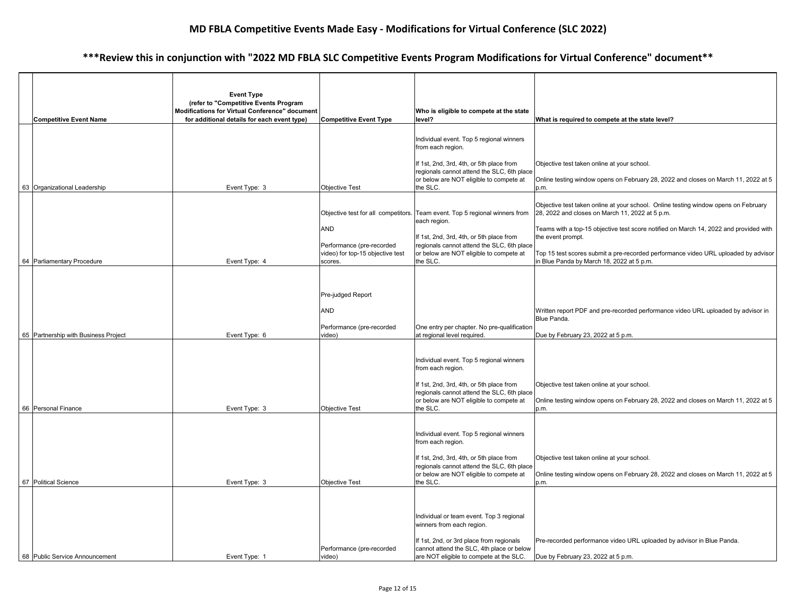|  |                                      | <b>Event Type</b>                                                                       |                                             |                                                                                                        |                                                                                                                                        |
|--|--------------------------------------|-----------------------------------------------------------------------------------------|---------------------------------------------|--------------------------------------------------------------------------------------------------------|----------------------------------------------------------------------------------------------------------------------------------------|
|  |                                      | (refer to "Competitive Events Program<br>Modifications for Virtual Conference" document |                                             | Who is eligible to compete at the state                                                                |                                                                                                                                        |
|  | <b>Competitive Event Name</b>        | for additional details for each event type)                                             | <b>Competitive Event Type</b>               | level?                                                                                                 | What is required to compete at the state level?                                                                                        |
|  |                                      |                                                                                         |                                             | Individual event. Top 5 regional winners<br>from each region.                                          |                                                                                                                                        |
|  |                                      |                                                                                         |                                             | If 1st, 2nd, 3rd, 4th, or 5th place from<br>regionals cannot attend the SLC, 6th place                 | Objective test taken online at your school.                                                                                            |
|  | 63 Organizational Leadership         | Event Type: 3                                                                           | <b>Objective Test</b>                       | or below are NOT eligible to compete at<br>the SLC.                                                    | Online testing window opens on February 28, 2022 and closes on March 11, 2022 at 5<br>p.m.                                             |
|  |                                      |                                                                                         | Objective test for all competitors.         | Team event. Top 5 regional winners from                                                                | Objective test taken online at your school. Online testing window opens on February<br>28, 2022 and closes on March 11, 2022 at 5 p.m. |
|  |                                      |                                                                                         | <b>AND</b><br>Performance (pre-recorded     | each region.<br>If 1st, 2nd, 3rd, 4th, or 5th place from<br>regionals cannot attend the SLC, 6th place | Teams with a top-15 objective test score notified on March 14, 2022 and provided with<br>the event prompt.                             |
|  | 64 Parliamentary Procedure           | Event Type: 4                                                                           | video) for top-15 objective test<br>scores. | or below are NOT eligible to compete at<br>the SLC.                                                    | Top 15 test scores submit a pre-recorded performance video URL uploaded by advisor<br>in Blue Panda by March 18, 2022 at 5 p.m.        |
|  |                                      |                                                                                         |                                             |                                                                                                        |                                                                                                                                        |
|  |                                      |                                                                                         | Pre-judged Report                           |                                                                                                        |                                                                                                                                        |
|  |                                      |                                                                                         | <b>AND</b>                                  |                                                                                                        | Written report PDF and pre-recorded performance video URL uploaded by advisor in<br>Blue Panda.                                        |
|  | 65 Partnership with Business Project | Event Type: 6                                                                           | Performance (pre-recorded<br>video)         | One entry per chapter. No pre-qualification<br>at regional level required.                             | Due by February 23, 2022 at 5 p.m.                                                                                                     |
|  |                                      |                                                                                         |                                             |                                                                                                        |                                                                                                                                        |
|  |                                      |                                                                                         |                                             | Individual event. Top 5 regional winners<br>from each region.                                          |                                                                                                                                        |
|  |                                      |                                                                                         |                                             | If 1st, 2nd, 3rd, 4th, or 5th place from<br>regionals cannot attend the SLC, 6th place                 | Objective test taken online at your school.                                                                                            |
|  | 66 Personal Finance                  | Event Type: 3                                                                           | <b>Objective Test</b>                       | or below are NOT eligible to compete at<br>the SLC.                                                    | Online testing window opens on February 28, 2022 and closes on March 11, 2022 at 5<br>p.m.                                             |
|  |                                      |                                                                                         |                                             |                                                                                                        |                                                                                                                                        |
|  |                                      |                                                                                         |                                             | Individual event. Top 5 regional winners<br>from each region.                                          |                                                                                                                                        |
|  |                                      |                                                                                         |                                             | If 1st, 2nd, 3rd, 4th, or 5th place from<br>regionals cannot attend the SLC, 6th place                 | Objective test taken online at your school.                                                                                            |
|  | 67 Political Science                 | Event Type: 3                                                                           | <b>Objective Test</b>                       | or below are NOT eligible to compete at<br>the SLC.                                                    | Online testing window opens on February 28, 2022 and closes on March 11, 2022 at 5<br>p.m.                                             |
|  |                                      |                                                                                         |                                             |                                                                                                        |                                                                                                                                        |
|  |                                      |                                                                                         |                                             | Individual or team event. Top 3 regional<br>winners from each region.                                  |                                                                                                                                        |
|  |                                      |                                                                                         | Performance (pre-recorded                   | If 1st, 2nd, or 3rd place from regionals<br>cannot attend the SLC, 4th place or below                  | Pre-recorded performance video URL uploaded by advisor in Blue Panda.                                                                  |
|  | 68 Public Service Announcement       | Event Type: 1                                                                           | video)                                      | are NOT eligible to compete at the SLC.                                                                | Due by February 23, 2022 at 5 p.m.                                                                                                     |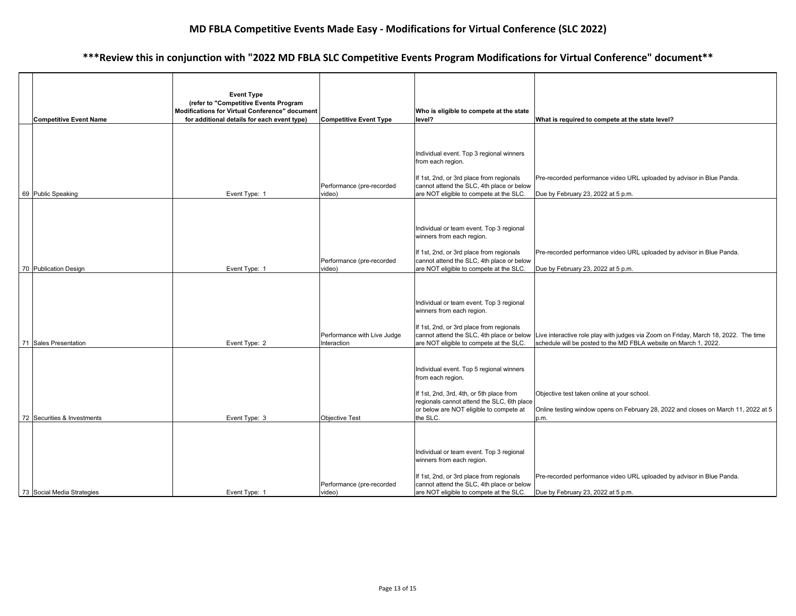|  | <b>Competitive Event Name</b> | <b>Event Type</b><br>(refer to "Competitive Events Program<br>Modifications for Virtual Conference" document<br>for additional details for each event type) | <b>Competitive Event Type</b>              | Who is eligible to compete at the state<br>level?                                                                                                                                                              | What is required to compete at the state level?                                                                                                                                                   |
|--|-------------------------------|-------------------------------------------------------------------------------------------------------------------------------------------------------------|--------------------------------------------|----------------------------------------------------------------------------------------------------------------------------------------------------------------------------------------------------------------|---------------------------------------------------------------------------------------------------------------------------------------------------------------------------------------------------|
|  | 69 Public Speaking            | Event Type: 1                                                                                                                                               | Performance (pre-recorded<br>video)        | Individual event. Top 3 regional winners<br>from each region.<br>If 1st, 2nd, or 3rd place from regionals<br>cannot attend the SLC, 4th place or below<br>are NOT eligible to compete at the SLC.              | Pre-recorded performance video URL uploaded by advisor in Blue Panda.<br>Due by February 23, 2022 at 5 p.m.                                                                                       |
|  | 70 Publication Design         | Event Type: 1                                                                                                                                               | Performance (pre-recorded<br>video)        | Individual or team event. Top 3 regional<br>winners from each region.<br>If 1st, 2nd, or 3rd place from regionals<br>cannot attend the SLC, 4th place or below<br>are NOT eligible to compete at the SLC.      | Pre-recorded performance video URL uploaded by advisor in Blue Panda.<br>Due by February 23, 2022 at 5 p.m.                                                                                       |
|  | 71 Sales Presentation         | Event Type: 2                                                                                                                                               | Performance with Live Judge<br>Interaction | Individual or team event. Top 3 regional<br>winners from each region.<br>If 1st, 2nd, or 3rd place from regionals<br>are NOT eligible to compete at the SLC.                                                   | cannot attend the SLC, 4th place or below Live interactive role play with judges via Zoom on Friday, March 18, 2022. The time<br>schedule will be posted to the MD FBLA website on March 1, 2022. |
|  | 72 Securities & Investments   | Event Type: 3                                                                                                                                               | <b>Objective Test</b>                      | Individual event. Top 5 regional winners<br>from each region.<br>If 1st, 2nd, 3rd, 4th, or 5th place from<br>regionals cannot attend the SLC, 6th place<br>or below are NOT eligible to compete at<br>the SLC. | Objective test taken online at your school.<br>Online testing window opens on February 28, 2022 and closes on March 11, 2022 at 5<br>p.m.                                                         |
|  | 73 Social Media Strategies    | Event Type: 1                                                                                                                                               | Performance (pre-recorded<br>video)        | Individual or team event. Top 3 regional<br>winners from each region.<br>If 1st, 2nd, or 3rd place from regionals<br>cannot attend the SLC, 4th place or below<br>are NOT eligible to compete at the SLC.      | Pre-recorded performance video URL uploaded by advisor in Blue Panda.<br>Due by February 23, 2022 at 5 p.m.                                                                                       |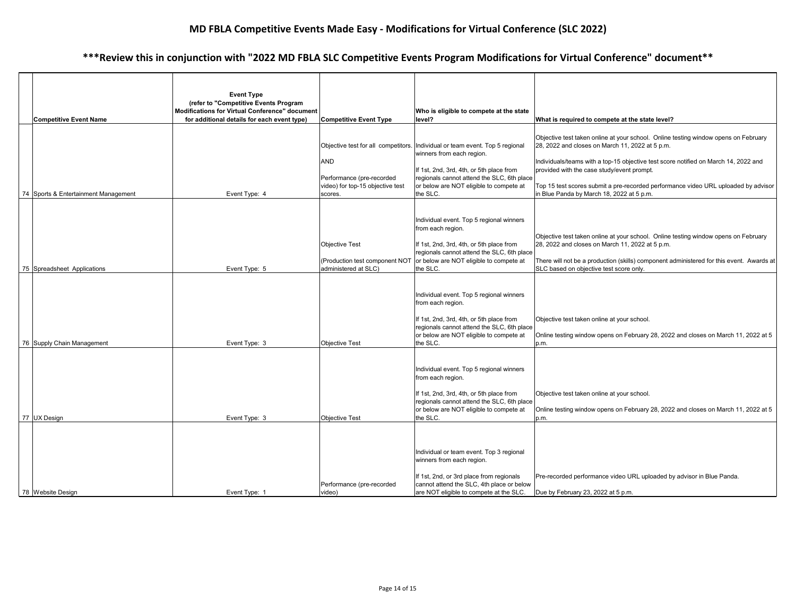|  |                                      | <b>Event Type</b><br>(refer to "Competitive Events Program<br>Modifications for Virtual Conference" document |                                                                                                                               | Who is eligible to compete at the state                                                                                                                                                                                |                                                                                                                                                                                                                                                                                                                                                                                                                |
|--|--------------------------------------|--------------------------------------------------------------------------------------------------------------|-------------------------------------------------------------------------------------------------------------------------------|------------------------------------------------------------------------------------------------------------------------------------------------------------------------------------------------------------------------|----------------------------------------------------------------------------------------------------------------------------------------------------------------------------------------------------------------------------------------------------------------------------------------------------------------------------------------------------------------------------------------------------------------|
|  | <b>Competitive Event Name</b>        | for additional details for each event type)                                                                  | <b>Competitive Event Type</b>                                                                                                 | level?                                                                                                                                                                                                                 | What is required to compete at the state level?                                                                                                                                                                                                                                                                                                                                                                |
|  | 74 Sports & Entertainment Management | Event Type: 4                                                                                                | Objective test for all competitors.<br><b>AND</b><br>Performance (pre-recorded<br>video) for top-15 objective test<br>scores. | Individual or team event. Top 5 regional<br>winners from each region.<br>If 1st, 2nd, 3rd, 4th, or 5th place from<br>regionals cannot attend the SLC, 6th place<br>or below are NOT eligible to compete at<br>the SLC. | Objective test taken online at your school. Online testing window opens on February<br>28, 2022 and closes on March 11, 2022 at 5 p.m.<br>Individuals/teams with a top-15 objective test score notified on March 14, 2022 and<br>provided with the case study/event prompt.<br>Top 15 test scores submit a pre-recorded performance video URL uploaded by advisor<br>in Blue Panda by March 18, 2022 at 5 p.m. |
|  | 75 Spreadsheet Applications          | Event Type: 5                                                                                                | <b>Objective Test</b><br>(Production test component NOT<br>administered at SLC)                                               | Individual event. Top 5 regional winners<br>from each region.<br>If 1st, 2nd, 3rd, 4th, or 5th place from<br>regionals cannot attend the SLC, 6th place<br>or below are NOT eligible to compete at<br>the SLC.         | Objective test taken online at your school. Online testing window opens on February<br>28, 2022 and closes on March 11, 2022 at 5 p.m.<br>There will not be a production (skills) component administered for this event. Awards at<br>SLC based on objective test score only.                                                                                                                                  |
|  | 76 Supply Chain Management           | Event Type: 3                                                                                                | <b>Objective Test</b>                                                                                                         | Individual event. Top 5 regional winners<br>from each region.<br>If 1st, 2nd, 3rd, 4th, or 5th place from<br>regionals cannot attend the SLC, 6th place<br>or below are NOT eligible to compete at<br>the SLC.         | Objective test taken online at your school.<br>Online testing window opens on February 28, 2022 and closes on March 11, 2022 at 5<br>p.m.                                                                                                                                                                                                                                                                      |
|  | 77 UX Design                         | Event Type: 3                                                                                                | <b>Objective Test</b>                                                                                                         | Individual event. Top 5 regional winners<br>from each region.<br>If 1st, 2nd, 3rd, 4th, or 5th place from<br>regionals cannot attend the SLC, 6th place<br>or below are NOT eligible to compete at<br>the SLC.         | Objective test taken online at your school.<br>Online testing window opens on February 28, 2022 and closes on March 11, 2022 at 5<br>p.m.                                                                                                                                                                                                                                                                      |
|  | 78 Website Design                    | Event Type: 1                                                                                                | Performance (pre-recorded<br>video)                                                                                           | Individual or team event. Top 3 regional<br>winners from each region.<br>If 1st, 2nd, or 3rd place from regionals<br>cannot attend the SLC, 4th place or below<br>are NOT eligible to compete at the SLC.              | Pre-recorded performance video URL uploaded by advisor in Blue Panda.<br>Due by February 23, 2022 at 5 p.m.                                                                                                                                                                                                                                                                                                    |